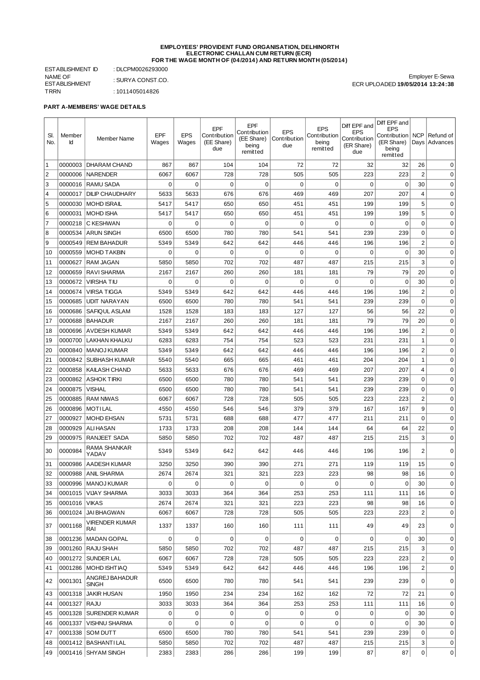## **EMPLOYEES' PROVIDENT FUND ORGANISATION, DELHINORTH ELECTRONIC CHALLAN CUM RETURN (ECR) FOR THE WAGE MONTH OF (04/2014) AND RETURN MONTH (05/2014)**

ESTABLISHMENT ID : DLCPM0026293000 NAME OF ESTABLISHMENT<br>TRRN : SURYA CONST.CO.  $: 1011405014826$ 

Employer E-Sewa ECR UPLOADED **19/05/2014 13:24:38**

**PART A-MEMBERS' WAGE DETAILS**

| SI.<br>No.     | Member<br>Id    | Member Name                    | EPF<br>Wages | <b>EPS</b><br>Wages | EPF<br>Contribution<br>(EE Share)<br>due | <b>EPF</b><br>Contribution<br>(EE Share)<br>being<br>remitted | <b>EPS</b><br>Contribution<br>due | <b>EPS</b><br>Contribution<br>being<br>remitted | Diff EPF and<br><b>EPS</b><br>Contribution<br>(ER Share)<br>due | Diff EPF and<br><b>EPS</b><br>Contribution   NCP<br>(ER Share)<br>being<br>remitted | Days           | Refund of<br>Advances |
|----------------|-----------------|--------------------------------|--------------|---------------------|------------------------------------------|---------------------------------------------------------------|-----------------------------------|-------------------------------------------------|-----------------------------------------------------------------|-------------------------------------------------------------------------------------|----------------|-----------------------|
| $\mathbf{1}$   | 0000003         | <b>DHARAM CHAND</b>            | 867          | 867                 | 104                                      | 104                                                           | 72                                | 72                                              | 32                                                              | 32                                                                                  | 26             | 0                     |
| $\overline{2}$ | 0000006         | <b>NARENDER</b>                | 6067         | 6067                | 728                                      | 728                                                           | 505                               | 505                                             | 223                                                             | 223                                                                                 | $\overline{2}$ | $\mathbf 0$           |
| 3              |                 | 0000016   RAMU SADA            | $\mathbf 0$  | $\mathbf 0$         | $\mathbf 0$                              | $\mathbf 0$                                                   | $\mathbf 0$                       | $\mathbf 0$                                     | $\mathbf 0$                                                     | 0                                                                                   | 30             | $\mathbf 0$           |
| $\overline{4}$ | 0000017         | <b>DILIP CHAUDHARY</b>         | 5633         | 5633                | 676                                      | 676                                                           | 469                               | 469                                             | 207                                                             | 207                                                                                 | $\overline{4}$ | $\mathbf 0$           |
| 5              | 0000030         | <b>MOHD ISRAIL</b>             | 5417         | 5417                | 650                                      | 650                                                           | 451                               | 451                                             | 199                                                             | 199                                                                                 | 5              | $\mathbf 0$           |
| 6              | 0000031         | <b>MOHD ISHA</b>               | 5417         | 5417                | 650                                      | 650                                                           | 451                               | 451                                             | 199                                                             | 199                                                                                 | 5              | $\mathbf 0$           |
| $\overline{7}$ | 0000218         | C KESHWAN                      | $\mathbf 0$  | $\mathbf 0$         | $\mathbf 0$                              | $\mathbf 0$                                                   | $\mathbf 0$                       | $\mathbf 0$                                     | $\mathbf 0$                                                     | 0                                                                                   | $\mathbf 0$    | $\mathbf 0$           |
| 8              | 0000534         | <b>ARUN SINGH</b>              | 6500         | 6500                | 780                                      | 780                                                           | 541                               | 541                                             | 239                                                             | 239                                                                                 | $\mathbf 0$    | $\mathbf 0$           |
| 9              | 0000549         | <b>REM BAHADUR</b>             | 5349         | 5349                | 642                                      | 642                                                           | 446                               | 446                                             | 196                                                             | 196                                                                                 | $\overline{2}$ | $\mathbf 0$           |
| 10             | 0000559         | <b>MOHD TAKBIN</b>             | $\mathbf 0$  | $\mathbf 0$         | $\mathbf 0$                              | $\mathbf 0$                                                   | $\mathbf 0$                       | 0                                               | $\mathbf 0$                                                     | 0                                                                                   | 30             | $\mathbf 0$           |
| 11             | 0000627         | <b>RAM JAGAN</b>               | 5850         | 5850                | 702                                      | 702                                                           | 487                               | 487                                             | 215                                                             | 215                                                                                 | 3              | $\mathbf 0$           |
| 12             | 0000659         | <b>RAVI SHARMA</b>             | 2167         | 2167                | 260                                      | 260                                                           | 181                               | 181                                             | 79                                                              | 79                                                                                  | 20             | $\mathbf 0$           |
| 13             | 0000672         | <b>VIRSHATIU</b>               | 0            | $\mathbf 0$         | $\mathbf 0$                              | 0                                                             | 0                                 | $\mathbf 0$                                     | $\mathbf 0$                                                     | 0                                                                                   | 30             | $\mathbf 0$           |
| 14             | 0000674         | <b>VIRSA TIGGA</b>             | 5349         | 5349                | 642                                      | 642                                                           | 446                               | 446                                             | 196                                                             | 196                                                                                 | $\overline{c}$ | $\mathbf 0$           |
| 15             | 0000685         | <b>UDIT NARAYAN</b>            | 6500         | 6500                | 780                                      | 780                                                           | 541                               | 541                                             | 239                                                             | 239                                                                                 | $\mathbf 0$    | 0                     |
| 16             | 0000686         | SAFIQUL ASLAM                  | 1528         | 1528                | 183                                      | 183                                                           | 127                               | 127                                             | 56                                                              | 56                                                                                  | 22             | 0                     |
| 17             | 0000688         | <b>BAHADUR</b>                 | 2167         | 2167                | 260                                      | 260                                                           | 181                               | 181                                             | 79                                                              | 79                                                                                  | 20             | 0                     |
| 18             | 0000696         | <b>AVDESH KUMAR</b>            | 5349         | 5349                | 642                                      | 642                                                           | 446                               | 446                                             | 196                                                             | 196                                                                                 | $\overline{c}$ | 0                     |
| 19             | 0000700         | <b>LAKHAN KHALKU</b>           | 6283         | 6283                | 754                                      | 754                                                           | 523                               | 523                                             | 231                                                             | 231                                                                                 | $\mathbf{1}$   | 0                     |
| 20             | 0000840         | MANOJ KUMAR                    | 5349         | 5349                | 642                                      | 642                                                           | 446                               | 446                                             | 196                                                             | 196                                                                                 | $\overline{c}$ | 0                     |
| 21             | 0000842         | <b>SUBHASH KUMAR</b>           | 5540         | 5540                | 665                                      | 665                                                           | 461                               | 461                                             | 204                                                             | 204                                                                                 | $1\,$          | $\mathbf 0$           |
| 22             | 0000858         | <b>KAILASH CHAND</b>           | 5633         | 5633                | 676                                      | 676                                                           | 469                               | 469                                             | 207                                                             | 207                                                                                 | 4              | $\mathbf 0$           |
| 23             | 0000862         | <b>ASHOK TIRKI</b>             | 6500         | 6500                | 780                                      | 780                                                           | 541                               | 541                                             | 239                                                             | 239                                                                                 | $\mathbf 0$    | $\mathbf 0$           |
| 24             | 0000875         | <b>VISHAL</b>                  | 6500         | 6500                | 780                                      | 780                                                           | 541                               | 541                                             | 239                                                             | 239                                                                                 | $\mathbf 0$    | $\mathbf 0$           |
| 25             | 0000885         | <b>RAM NIWAS</b>               | 6067         | 6067                | 728                                      | 728                                                           | 505                               | 505                                             | 223                                                             | 223                                                                                 | $\overline{c}$ | $\mathbf 0$           |
| 26             | 0000896         | <b>MOTILAL</b>                 | 4550         | 4550                | 546                                      | 546                                                           | 379                               | 379                                             | 167                                                             | 167                                                                                 | 9              | $\mathbf 0$           |
| 27             | 0000927         | <b>MOHD EHSAN</b>              | 5731         | 5731                | 688                                      | 688                                                           | 477                               | 477                                             | 211                                                             | 211                                                                                 | $\mathbf 0$    | $\mathbf 0$           |
| 28             | 0000929         | <b>ALI HASAN</b>               | 1733         | 1733                | 208                                      | 208                                                           | 144                               | 144                                             | 64                                                              | 64                                                                                  | 22             | $\mathbf 0$           |
| 29             | 0000975         | RANJEET SADA                   | 5850         | 5850                | 702                                      | 702                                                           | 487                               | 487                                             | 215                                                             | 215                                                                                 | 3              | $\mathbf 0$           |
| 30             | 0000984         | RAMA SHANKAR<br>YADAV          | 5349         | 5349                | 642                                      | 642                                                           | 446                               | 446                                             | 196                                                             | 196                                                                                 | $\overline{2}$ | $\mathbf 0$           |
| 31             | 0000986         | <b>AADESH KUMAR</b>            | 3250         | 3250                | 390                                      | 390                                                           | 271                               | 271                                             | 119                                                             | 119                                                                                 | 15             | $\mathbf 0$           |
| 32             | 0000988         | <b>ANIL SHARMA</b>             | 2674         | 2674                | 321                                      | 321                                                           | 223                               | 223                                             | 98                                                              | 98                                                                                  | 16             | 0                     |
| 33             |                 | 0000996   MANOJ KUMAR          | 0            | 0                   | $\mathbf 0$                              | 0                                                             | $\mathbf 0$                       | 0                                               | 0                                                               | 0                                                                                   | 30             | 0                     |
| 34             |                 | 0001015   VIJAY SHARMA         | 3033         | 3033                | 364                                      | 364                                                           | 253                               | 253                                             | 111                                                             | 111                                                                                 | 16             | $\mathbf 0$           |
| 35             | 0001016   VIKAS |                                | 2674         | 2674                | 321                                      | 321                                                           | 223                               | 223                                             | 98                                                              | 98                                                                                  | 16             | $\mathbf 0$           |
| 36             |                 | 0001024 JAI BHAGWAN            | 6067         | 6067                | 728                                      | 728                                                           | 505                               | 505                                             | 223                                                             | 223                                                                                 | $\overline{2}$ | $\mathbf 0$           |
| 37             | 0001168         | <b>VIRENDER KUMAR</b><br>RAI   | 1337         | 1337                | 160                                      | 160                                                           | 111                               | 111                                             | 49                                                              | 49                                                                                  | 23             | 0                     |
| 38             | 0001236         | MADAN GOPAL                    | 0            | 0                   | 0                                        | 0                                                             | 0                                 | 0                                               | $\mathbf 0$                                                     | 0                                                                                   | 30             | 0                     |
| 39             | 0001260         | RAJU SHAH                      | 5850         | 5850                | 702                                      | 702                                                           | 487                               | 487                                             | 215                                                             | 215                                                                                 | 3              | 0                     |
| 40             | 0001272         | SUNDER LAL                     | 6067         | 6067                | 728                                      | 728                                                           | 505                               | 505                                             | 223                                                             | 223                                                                                 | $\overline{c}$ | 0                     |
| 41             | 0001286         | MOHD ISHTIAQ                   | 5349         | 5349                | 642                                      | 642                                                           | 446                               | 446                                             | 196                                                             | 196                                                                                 | $\overline{c}$ | 0                     |
| 42             | 0001301         | ANGREJ BAHADUR<br><b>SINGH</b> | 6500         | 6500                | 780                                      | 780                                                           | 541                               | 541                                             | 239                                                             | 239                                                                                 | $\mathbf 0$    | $\mathbf 0$           |
| 43             | 0001318         | <b>JAKIR HUSAN</b>             | 1950         | 1950                | 234                                      | 234                                                           | 162                               | 162                                             | 72                                                              | 72                                                                                  | 21             | 0                     |
| 44             | 0001327         | RAJU                           | 3033         | 3033                | 364                                      | 364                                                           | 253                               | 253                                             | 111                                                             | 111                                                                                 | 16             | $\mathbf 0$           |
| 45             | 0001328         | <b>SURENDER KUMAR</b>          | 0            | 0                   | $\mathbf 0$                              | $\mathbf 0$                                                   | $\mathbf 0$                       | 0                                               | 0                                                               | 0                                                                                   | 30             | $\mathbf 0$           |
| 46             | 0001337         | <b>VISHNU SHARMA</b>           | 0            | $\mathbf 0$         | $\mathbf 0$                              | 0                                                             | $\mathbf 0$                       | 0                                               | 0                                                               | 0                                                                                   | 30             | $\pmb{0}$             |
| 47             |                 | 0001338   SOM DUTT             | 6500         | 6500                | 780                                      | 780                                                           | 541                               | 541                                             | 239                                                             | 239                                                                                 | 0              | 0                     |
| 48             |                 | 0001412   BASHANTI LAL         | 5850         | 5850                | 702                                      | 702                                                           | 487                               | 487                                             | 215                                                             | 215                                                                                 | 3              | 0                     |
| 49             |                 | 0001416 SHYAM SINGH            | 2383         | 2383                | 286                                      | 286                                                           | 199                               | 199                                             | 87                                                              | 87                                                                                  | 0              | 0                     |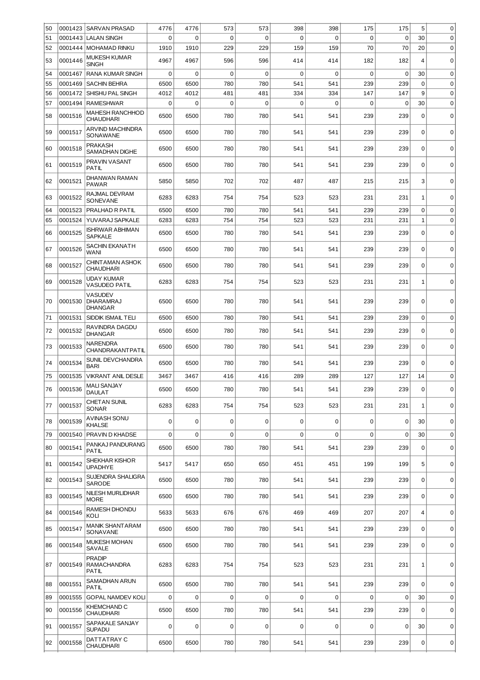| 50 | 0001423 | <b>SARVAN PRASAD</b>                         | 4776        | 4776        | 573         | 573         | 398         | 398         | 175         | 175         | 5              | $\mathbf 0$ |
|----|---------|----------------------------------------------|-------------|-------------|-------------|-------------|-------------|-------------|-------------|-------------|----------------|-------------|
| 51 | 0001443 | <b>LALAN SINGH</b>                           | 0           | $\mathbf 0$ | $\mathbf 0$ | 0           | 0           | $\mathbf 0$ | $\mathbf 0$ | $\mathbf 0$ | 30             | $\mathbf 0$ |
| 52 |         | 0001444   MOHAMAD RINKU                      | 1910        | 1910        | 229         | 229         | 159         | 159         | 70          | 70          | 20             | $\mathbf 0$ |
| 53 | 0001446 | MUKESH KUMAR<br><b>SINGH</b>                 | 4967        | 4967        | 596         | 596         | 414         | 414         | 182         | 182         | $\overline{4}$ | $\mathbf 0$ |
| 54 | 0001467 | RANA KUMAR SINGH                             | $\mathbf 0$ | $\mathbf 0$ | $\mathbf 0$ | $\mathbf 0$ | $\mathbf 0$ | $\mathbf 0$ | $\mathbf 0$ | $\mathbf 0$ | 30             | $\mathbf 0$ |
| 55 | 0001469 | <b>SACHIN BEHRA</b>                          | 6500        | 6500        | 780         | 780         | 541         | 541         | 239         | 239         | $\mathbf 0$    | $\mathbf 0$ |
| 56 | 0001472 | SHISHU PAL SINGH                             | 4012        | 4012        | 481         | 481         | 334         | 334         | 147         | 147         | 9              | $\mathbf 0$ |
| 57 | 0001494 | <b>RAMESHWAR</b>                             | $\Omega$    | $\mathbf 0$ | $\mathbf 0$ | 0           | $\mathbf 0$ | $\mathbf 0$ | $\mathbf 0$ | $\mathbf 0$ | 30             | $\mathbf 0$ |
| 58 | 0001516 | <b>MAHESH RANCHHOD</b><br><b>CHAUDHARI</b>   | 6500        | 6500        | 780         | 780         | 541         | 541         | 239         | 239         | $\mathbf 0$    | $\mathbf 0$ |
| 59 | 0001517 | ARVIND MACHINDRA<br>SONAWANE                 | 6500        | 6500        | 780         | 780         | 541         | 541         | 239         | 239         | $\mathbf 0$    | $\mathbf 0$ |
| 60 | 0001518 | <b>PRAKASH</b><br>SAMADHAN DIGHE             | 6500        | 6500        | 780         | 780         | 541         | 541         | 239         | 239         | 0              | $\mathbf 0$ |
| 61 | 0001519 | PRAVIN VASANT<br>PATIL                       | 6500        | 6500        | 780         | 780         | 541         | 541         | 239         | 239         | $\Omega$       | $\mathbf 0$ |
| 62 | 0001521 | DHANWAN RAMAN<br><b>PAWAR</b>                | 5850        | 5850        | 702         | 702         | 487         | 487         | 215         | 215         | 3              | $\mathbf 0$ |
| 63 | 0001522 | RAJMAL DEVRAM<br><b>SONEVANE</b>             | 6283        | 6283        | 754         | 754         | 523         | 523         | 231         | 231         | 1              | $\mathbf 0$ |
| 64 | 0001523 | PRALHAD R PATIL                              | 6500        | 6500        | 780         | 780         | 541         | 541         | 239         | 239         | 0              | $\mathbf 0$ |
| 65 | 0001524 | YUVARAJ SAPKALE                              | 6283        | 6283        | 754         | 754         | 523         | 523         | 231         | 231         | $1\,$          | $\mathbf 0$ |
| 66 | 0001525 | ISHRWAR ABHIMAN<br><b>SAPKALE</b>            | 6500        | 6500        | 780         | 780         | 541         | 541         | 239         | 239         | 0              | $\mathbf 0$ |
| 67 | 0001526 | SACHIN EKANATH<br>WANI                       | 6500        | 6500        | 780         | 780         | 541         | 541         | 239         | 239         | $\mathbf 0$    | $\mathbf 0$ |
| 68 | 0001527 | CHINTAMAN ASHOK<br><b>CHAUDHARI</b>          | 6500        | 6500        | 780         | 780         | 541         | 541         | 239         | 239         | $\Omega$       | $\mathbf 0$ |
| 69 | 0001528 | UDAY KUMAR<br>VASUDEO PATIL                  | 6283        | 6283        | 754         | 754         | 523         | 523         | 231         | 231         | $1\,$          | $\mathbf 0$ |
| 70 | 0001530 | VASUDEV<br><b>DHARAMRAJ</b><br>DHANGAR       | 6500        | 6500        | 780         | 780         | 541         | 541         | 239         | 239         | 0              | $\mathbf 0$ |
| 71 | 0001531 | <b>SIDDIK ISMAIL TELI</b>                    | 6500        | 6500        | 780         | 780         | 541         | 541         | 239         | 239         | 0              | $\mathbf 0$ |
| 72 | 0001532 | RAVINDRA DAGDU<br><b>DHANGAR</b>             | 6500        | 6500        | 780         | 780         | 541         | 541         | 239         | 239         | $\mathbf 0$    | $\mathbf 0$ |
| 73 | 0001533 | NARENDRA<br><b>CHANDRAKANTPATIL</b>          | 6500        | 6500        | 780         | 780         | 541         | 541         | 239         | 239         | 0              | $\mathbf 0$ |
| 74 | 0001534 | SUNIL DEVCHANDRA<br><b>BARI</b>              | 6500        | 6500        | 780         | 780         | 541         | 541         | 239         | 239         | $\Omega$       | $\mathbf 0$ |
| 75 | 0001535 | <b>VIKRANT ANIL DESLE</b>                    | 3467        | 3467        | 416         | 416         | 289         | 289         | 127         | 127         | 14             | $\mathbf 0$ |
| 76 | 0001536 | MALI SANJAY<br><b>DAULAT</b>                 | 6500        | 6500        | 780         | 780         | 541         | 541         | 239         | 239         | 0              | 0           |
| 77 | 0001537 | <b>CHET AN SUNIL</b><br><b>SONAR</b>         | 6283        | 6283        | 754         | 754         | 523         | 523         | 231         | 231         | 1              | $\pmb{0}$   |
| 78 | 0001539 | AVINASH SONU<br>KHALSE                       | 0           | $\Omega$    | 0           | 0           | $\mathbf 0$ | $\mathbf 0$ | 0           | $\Omega$    | 30             | $\mathbf 0$ |
| 79 | 0001540 | PRAVIN D KHADSE                              | $\mathbf 0$ | $\mathbf 0$ | $\mathbf 0$ | $\mathbf 0$ | $\mathbf 0$ | $\mathbf 0$ | $\mathbf 0$ | $\mathbf 0$ | 30             | $\mathbf 0$ |
| 80 | 0001541 | PANKAJ PANDURANG<br><b>PATIL</b>             | 6500        | 6500        | 780         | 780         | 541         | 541         | 239         | 239         | 0              | 0           |
| 81 | 0001542 | SHEKHAR KISHOR<br><b>UPADHYE</b>             | 5417        | 5417        | 650         | 650         | 451         | 451         | 199         | 199         | 5              | $\mathbf 0$ |
| 82 | 0001543 | SUJENDRA SHALIGRA<br><b>SARODE</b>           | 6500        | 6500        | 780         | 780         | 541         | 541         | 239         | 239         | 0              | 0           |
| 83 | 0001545 | NILESH MURLIDHAR<br><b>MORE</b>              | 6500        | 6500        | 780         | 780         | 541         | 541         | 239         | 239         | $\mathbf 0$    | $\mathbf 0$ |
| 84 | 0001546 | RAMESH DHONDU<br>KOLI                        | 5633        | 5633        | 676         | 676         | 469         | 469         | 207         | 207         | $\overline{4}$ | $\pmb{0}$   |
| 85 | 0001547 | <b>MANIK SHANTARAM</b><br>SONAVANE           | 6500        | 6500        | 780         | 780         | 541         | 541         | 239         | 239         | $\mathbf 0$    | $\mathbf 0$ |
| 86 | 0001548 | MUKESH MOHAN<br>SAVALE                       | 6500        | 6500        | 780         | 780         | 541         | 541         | 239         | 239         | $\mathbf 0$    | $\mathbf 0$ |
| 87 | 0001549 | <b>PRADIP</b><br><b>RAMACHANDRA</b><br>PATIL | 6283        | 6283        | 754         | 754         | 523         | 523         | 231         | 231         | 1              | $\mathbf 0$ |
| 88 | 0001551 | SAMADHAN ARUN<br>PATIL                       | 6500        | 6500        | 780         | 780         | 541         | 541         | 239         | 239         | $\Omega$       | $\mathbf 0$ |
| 89 | 0001555 | <b>GOPAL NAMDEV KOLI</b>                     | $\Omega$    | $\mathbf 0$ | $\mathbf 0$ | 0           | $\mathbf 0$ | $\mathbf 0$ | 0           | $\mathbf 0$ | 30             | $\mathbf 0$ |
| 90 | 0001556 | KHEMCHAND C<br><b>CHAUDHARI</b>              | 6500        | 6500        | 780         | 780         | 541         | 541         | 239         | 239         | $\Omega$       | $\mathbf 0$ |
| 91 | 0001557 | SAPAKALE SANJAY<br>SUPADU                    | $\mathbf 0$ | $\mathbf 0$ | $\mathbf 0$ | 0           | 0           | $\mathbf 0$ | 0           | 0           | 30             | $\mathbf 0$ |
| 92 | 0001558 | DATTATRAY C<br>CHAUDHARI                     | 6500        | 6500        | 780         | 780         | 541         | 541         | 239         | 239         | 0              | 0           |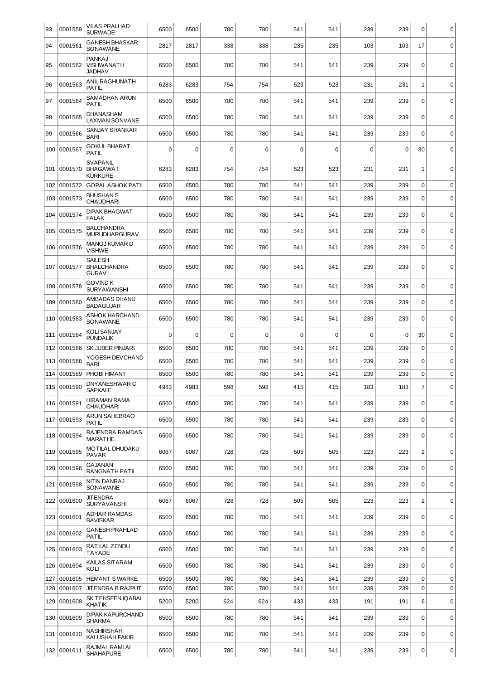| 93  | 0001559     | <b>VILAS PRALHAD</b><br><b>SURWADE</b>        | 6500 | 6500     | 780         | 780         | 541         | 541         | 239 | 239         | 0              | $\mathbf 0$ |
|-----|-------------|-----------------------------------------------|------|----------|-------------|-------------|-------------|-------------|-----|-------------|----------------|-------------|
| 94  | 0001561     | <b>GANESH BHASKAR</b><br>SONAWANE             | 2817 | 2817     | 338         | 338         | 235         | 235         | 103 | 103         | 17             | $\mathbf 0$ |
| 95  | 0001562     | <b>PANKAJ</b><br>VISHWANATH<br><b>JADHAV</b>  | 6500 | 6500     | 780         | 780         | 541         | 541         | 239 | 239         | $\mathbf 0$    | $\mathbf 0$ |
| 96  | 0001563     | ANIL RAGHUNATH<br>PATIL                       | 6283 | 6283     | 754         | 754         | 523         | 523         | 231 | 231         | $\mathbf{1}$   | $\mathbf 0$ |
| 97  | 0001564     | SAMADHAN ARUN<br>PATIL                        | 6500 | 6500     | 780         | 780         | 541         | 541         | 239 | 239         | $\Omega$       | $\mathbf 0$ |
| 98  | 0001565     | DHANASHAM<br><b>LAXMAN SONVANE</b>            | 6500 | 6500     | 780         | 780         | 541         | 541         | 239 | 239         | 0              | $\mathbf 0$ |
| 99  | 0001566     | <b>SANJAY SHANKAR</b><br><b>BARI</b>          | 6500 | 6500     | 780         | 780         | 541         | 541         | 239 | 239         | $\Omega$       | $\mathbf 0$ |
| 100 | 0001567     | <b>GOKUL BHARAT</b><br><b>PATIL</b>           | 0    | $\Omega$ | 0           | $\mathbf 0$ | $\mathbf 0$ | 0           | 0   | $\mathbf 0$ | 30             | $\mathbf 0$ |
| 101 | 0001570     | SVAPANIL<br><b>BHAGAWAT</b><br><b>KURKURE</b> | 6283 | 6283     | 754         | 754         | 523         | 523         | 231 | 231         | 1              | $\mathbf 0$ |
| 102 | 0001572     | <b>GOPAL ASHOK PATIL</b>                      | 6500 | 6500     | 780         | 780         | 541         | 541         | 239 | 239         | $\Omega$       | $\mathbf 0$ |
| 103 | 0001573     | <b>BHUSHAN S</b><br><b>CHAUDHARI</b>          | 6500 | 6500     | 780         | 780         | 541         | 541         | 239 | 239         | $\mathbf 0$    | $\mathbf 0$ |
| 104 | 0001574     | <b>DIPAK BHAGWAT</b><br><b>FALAK</b>          | 6500 | 6500     | 780         | 780         | 541         | 541         | 239 | 239         | $\Omega$       | $\mathbf 0$ |
| 105 | 0001575     | <b>BALCHANDRA</b><br><b>MURLIDHARGURAV</b>    | 6500 | 6500     | 780         | 780         | 541         | 541         | 239 | 239         | 0              | $\mathbf 0$ |
| 106 | 0001576     | <b>MANOJ KUMAR D</b><br>VISHWE                | 6500 | 6500     | 780         | 780         | 541         | 541         | 239 | 239         | $\mathbf 0$    | $\mathbf 0$ |
| 107 | 0001577     | <b>SAILESH</b><br><b>BHALCHANDRA</b><br>GURAV | 6500 | 6500     | 780         | 780         | 541         | 541         | 239 | 239         | $\Omega$       | $\mathbf 0$ |
| 108 | 0001578     | GOVIND K<br><b>SURYAWANSHI</b>                | 6500 | 6500     | 780         | 780         | 541         | 541         | 239 | 239         | $\mathbf 0$    | $\mathbf 0$ |
| 109 | 0001580     | AMBADAS DHANU<br><b>BADAGUJAR</b>             | 6500 | 6500     | 780         | 780         | 541         | 541         | 239 | 239         | 0              | $\mathbf 0$ |
| 110 | 0001583     | ASHOK HARCHAND<br>SONAWANE                    | 6500 | 6500     | 780         | 780         | 541         | 541         | 239 | 239         | $\Omega$       | $\mathbf 0$ |
| 111 | 0001584     | KOLI SANJAY<br><b>PUNDALIK</b>                | 0    | $\Omega$ | $\mathbf 0$ | 0           | 0           | $\mathbf 0$ | 0   | 0           | 30             | $\mathbf 0$ |
| 112 | 0001586     | SK JUBER PINJARI                              | 6500 | 6500     | 780         | 780         | 541         | 541         | 239 | 239         | $\mathbf 0$    | $\mathbf 0$ |
| 113 | 0001588     | YOGESH DEVCHAND<br><b>BARI</b>                | 6500 | 6500     | 780         | 780         | 541         | 541         | 239 | 239         | 0              | $\mathbf 0$ |
| 114 | 0001589     | PHOBI HIMANT                                  | 6500 | 6500     | 780         | 780         | 541         | 541         | 239 | 239         | $\mathbf 0$    | $\mathbf 0$ |
|     | 115 0001590 | DNYANESHWAR C<br><b>SAPKALE</b>               | 4983 | 4983     | 598         | 598         | 415         | 415         | 183 | 183         | 7 <sup>1</sup> | 0           |
|     | 116 0001591 | HIRAMAN RAMA<br><b>CHAUDHARI</b>              | 6500 | 6500     | 780         | 780         | 541         | 541         | 239 | 239         | 0              | $\mathbf 0$ |
|     | 117 0001593 | ARUN SAHEBRAO<br>PATIL                        | 6500 | 6500     | 780         | 780         | 541         | 541         | 239 | 239         | 0              | $\mathbf 0$ |
| 118 | 0001594     | RAJENDRA RAMDAS<br><b>MARATHE</b>             | 6500 | 6500     | 780         | 780         | 541         | 541         | 239 | 239         | 0              | $\mathbf 0$ |
|     | 119 0001595 | MOTILAL DHUDAKU<br><b>PAVAR</b>               | 6067 | 6067     | 728         | 728         | 505         | 505         | 223 | 223         | $\overline{c}$ | $\mathsf 0$ |
| 120 | 0001596     | GAJANAN<br>RANGNATH PATIL                     | 6500 | 6500     | 780         | 780         | 541         | 541         | 239 | 239         | 0              | $\mathbf 0$ |
| 121 | 0001598     | NIT IN DANRAJ<br>SONAWANE                     | 6500 | 6500     | 780         | 780         | 541         | 541         | 239 | 239         | $\mathbf 0$    | $\mathbf 0$ |
| 122 | 0001600     | <b>JIT ENDRA</b><br><b>SURYAVANSHI</b>        | 6067 | 6067     | 728         | 728         | 505         | 505         | 223 | 223         | $\overline{c}$ | $\mathsf 0$ |
|     | 123 0001601 | <b>ADHAR RAMDAS</b><br><b>BAVISKAR</b>        | 6500 | 6500     | 780         | 780         | 541         | 541         | 239 | 239         | 0              | $\mathbf 0$ |
|     | 124 0001602 | <b>GANESH PRAHLAD</b><br><b>PATIL</b>         | 6500 | 6500     | 780         | 780         | 541         | 541         | 239 | 239         | $\mathbf 0$    | $\mathbf 0$ |
| 125 | 0001603     | RATILAL ZENDU<br><b>TAYADE</b>                | 6500 | 6500     | 780         | 780         | 541         | 541         | 239 | 239         | 0              | 0           |
| 126 | 0001604     | KAILAS SITARAM<br>KOLI                        | 6500 | 6500     | 780         | 780         | 541         | 541         | 239 | 239         | $\Omega$       | $\mathbf 0$ |
| 127 | 0001605     | <b>HEMANT S WARKE</b>                         | 6500 | 6500     | 780         | 780         | 541         | 541         | 239 | 239         | 0              | $\mathbf 0$ |
| 128 | 0001607     | JITENDRA B RAJPUT                             | 6500 | 6500     | 780         | 780         | 541         | 541         | 239 | 239         | $\mathbf 0$    | $\mathbf 0$ |
| 129 | 0001608     | SK TEHSEEN IQABAL<br><b>KHATIK</b>            | 5200 | 5200     | 624         | 624         | 433         | 433         | 191 | 191         | 6              | $\mathbf 0$ |
| 130 | 0001609     | <b>DIPAK KAPURCHAND</b><br><b>SHARMA</b>      | 6500 | 6500     | 780         | 780         | 541         | 541         | 239 | 239         | $\Omega$       | $\mathsf 0$ |
| 131 | 0001610     | NASHIRSHAH<br><b>KALUSHAH FAKIR</b>           | 6500 | 6500     | 780         | 780         | 541         | 541         | 239 | 239         | 0              | $\mathbf 0$ |
|     | 132 0001611 | RAJMAL RAMLAL<br><b>SHAHAPURE</b>             | 6500 | 6500     | 780         | 780         | 541         | 541         | 239 | 239         | 0              | 0           |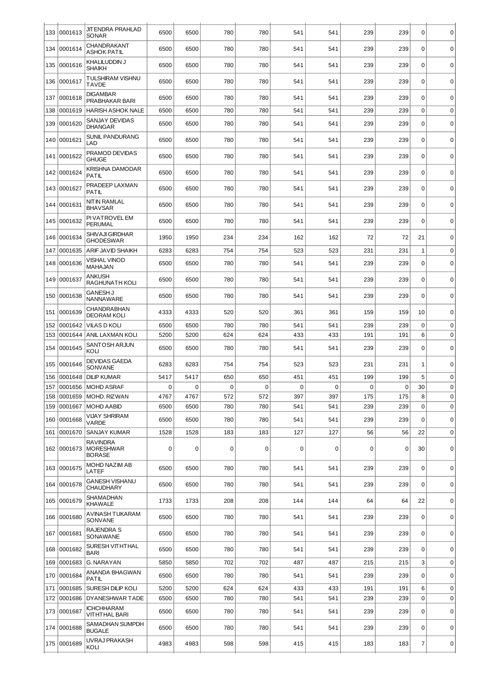| 133 | 0001613     | JITENDRA PRAHLAD<br>SONAR                     | 6500 | 6500 | 780 | 780 | 541 | 541 | 239 | 239 | 0            | $\mathbf 0$ |
|-----|-------------|-----------------------------------------------|------|------|-----|-----|-----|-----|-----|-----|--------------|-------------|
| 134 | 0001614     | CHANDRAKANT<br><b>ASHOK PATIL</b>             | 6500 | 6500 | 780 | 780 | 541 | 541 | 239 | 239 | 0            | 0           |
| 135 | 0001616     | KHALILUDDIN J<br><b>SHAIKH</b>                | 6500 | 6500 | 780 | 780 | 541 | 541 | 239 | 239 | 0            | 0           |
| 136 | 0001617     | TULSHIRAM VISHNU<br><b>TAVDE</b>              | 6500 | 6500 | 780 | 780 | 541 | 541 | 239 | 239 | $\Omega$     | $\mathbf 0$ |
| 137 | 0001618     | <b>DIGAMBAR</b><br>PRABHAKAR BARI             | 6500 | 6500 | 780 | 780 | 541 | 541 | 239 | 239 | 0            | $\mathbf 0$ |
| 138 | 0001619     | <b>HARISH ASHOK NALE</b>                      | 6500 | 6500 | 780 | 780 | 541 | 541 | 239 | 239 | 0            | $\mathbf 0$ |
| 139 | 0001620     | <b>SANJAY DEVIDAS</b><br><b>DHANGAR</b>       | 6500 | 6500 | 780 | 780 | 541 | 541 | 239 | 239 | $\mathbf 0$  | $\mathbf 0$ |
| 140 | 0001621     | <b>SUNIL PANDURANG</b><br>LAD                 | 6500 | 6500 | 780 | 780 | 541 | 541 | 239 | 239 | $\Omega$     | $\mathbf 0$ |
| 141 | 0001622     | PRAMOD DEVIDAS<br><b>GHUGE</b>                | 6500 | 6500 | 780 | 780 | 541 | 541 | 239 | 239 | $\mathbf 0$  | $\mathbf 0$ |
| 142 | 0001624     | KRISHNA DAMODAR<br><b>PATIL</b>               | 6500 | 6500 | 780 | 780 | 541 | 541 | 239 | 239 | 0            | 0           |
| 143 | 0001627     | PRADEEP LAXMAN<br><b>PATIL</b>                | 6500 | 6500 | 780 | 780 | 541 | 541 | 239 | 239 | $\Omega$     | $\mathbf 0$ |
| 144 | 0001631     | NIT IN RAMLAL<br><b>BHAVSAR</b>               | 6500 | 6500 | 780 | 780 | 541 | 541 | 239 | 239 | 0            | $\mathbf 0$ |
| 145 | 0001632     | PI VATROVEL EM<br><b>PERUMAL</b>              | 6500 | 6500 | 780 | 780 | 541 | 541 | 239 | 239 | $\mathbf 0$  | $\mathbf 0$ |
| 146 | 0001634     | SHIVAJI GIRDHAR<br><b>GHODESWAR</b>           | 1950 | 1950 | 234 | 234 | 162 | 162 | 72  | 72  | 21           | $\mathbf 0$ |
| 147 | 0001635     | <b>ARIF JAVID SHAIKH</b>                      | 6283 | 6283 | 754 | 754 | 523 | 523 | 231 | 231 | $\mathbf{1}$ | $\mathbf 0$ |
| 148 | 0001636     | VISHAL VINOD<br>MAHAJAN                       | 6500 | 6500 | 780 | 780 | 541 | 541 | 239 | 239 | 0            | $\mathbf 0$ |
| 149 | 0001637     | ANKUSH<br>RAGHUNATH KOLI                      | 6500 | 6500 | 780 | 780 | 541 | 541 | 239 | 239 | $\mathbf 0$  | $\mathbf 0$ |
| 150 | 0001638     | <b>GANESH J</b><br>NANNAWARE                  | 6500 | 6500 | 780 | 780 | 541 | 541 | 239 | 239 | $\Omega$     | $\mathbf 0$ |
| 151 | 0001639     | CHANDRABHAN<br><b>DEORAM KOLI</b>             | 4333 | 4333 | 520 | 520 | 361 | 361 | 159 | 159 | 10           | $\mathbf 0$ |
| 152 | 0001642     | <b>VILAS D KOLI</b>                           | 6500 | 6500 | 780 | 780 | 541 | 541 | 239 | 239 | 0            | $\mathbf 0$ |
| 153 | 0001644     | <b>ANIL LAXMAN KOLI</b>                       | 5200 | 5200 | 624 | 624 | 433 | 433 | 191 | 191 | 6            | 0           |
| 154 | 0001645     | SANTOSH ARJUN<br>KOLI                         | 6500 | 6500 | 780 | 780 | 541 | 541 | 239 | 239 | 0            | $\mathbf 0$ |
| 155 | 0001646     | <b>DEVIDAS GAEDA</b><br>SONVANE               | 6283 | 6283 | 754 | 754 | 523 | 523 | 231 | 231 | 1            | $\mathbf 0$ |
| 156 | 0001648     | <b>DILIP KUMAR</b>                            | 5417 | 5417 | 650 | 650 | 451 | 451 | 199 | 199 | 5            | $\mathbf 0$ |
| 157 |             | 0001656   MOHD ASRAF                          | 0    | 0    | 0   | 0   | 0   | 0   | 0   | 0   | 30           | 0           |
| 158 | 0001659     | MOHD. RIZWAN                                  | 4767 | 4767 | 572 | 572 | 397 | 397 | 175 | 175 | 8            | $\mathbf 0$ |
| 159 | 0001667     | <b>MOHD AABID</b>                             | 6500 | 6500 | 780 | 780 | 541 | 541 | 239 | 239 | 0            | $\mathbf 0$ |
| 160 | 0001668     | VIJAY SHRIRAM<br>VARDE                        | 6500 | 6500 | 780 | 780 | 541 | 541 | 239 | 239 | $\Omega$     | $\mathbf 0$ |
| 161 | 0001670     | SANJAY KUMAR                                  | 1528 | 1528 | 183 | 183 | 127 | 127 | 56  | 56  | 22           | $\mathbf 0$ |
|     | 162 0001673 | RAVINDRA<br><b>MORESHWAR</b><br><b>BORASE</b> | 0    | 0    | 0   | 0   | 0   | 0   | 0   | 0   | 30           | 0           |
|     | 163 0001675 | MOHD NAZIM AB<br>LATEF                        | 6500 | 6500 | 780 | 780 | 541 | 541 | 239 | 239 | $\mathbf 0$  | $\mathbf 0$ |
| 164 | 0001678     | <b>GANESH VISHANU</b><br><b>CHAUDHARY</b>     | 6500 | 6500 | 780 | 780 | 541 | 541 | 239 | 239 | $\Omega$     | 0           |
| 165 | 0001679     | SHAMADHAN<br><b>KHAWALE</b>                   | 1733 | 1733 | 208 | 208 | 144 | 144 | 64  | 64  | 22           | $\mathbf 0$ |
|     | 166 0001680 | AVINASH TUKARAM<br>SONVANE                    | 6500 | 6500 | 780 | 780 | 541 | 541 | 239 | 239 | 0            | 0           |
| 167 | 0001681     | <b>RAJENDRA S</b><br>SONAWANE                 | 6500 | 6500 | 780 | 780 | 541 | 541 | 239 | 239 | $\Omega$     | $\mathbf 0$ |
| 168 | 0001682     | SURESH VITHTHAL<br><b>BARI</b>                | 6500 | 6500 | 780 | 780 | 541 | 541 | 239 | 239 | 0            | $\mathbf 0$ |
| 169 | 0001683     | G. NARAYAN                                    | 5850 | 5850 | 702 | 702 | 487 | 487 | 215 | 215 | 3            | $\mathbf 0$ |
| 170 | 0001684     | ANANDA BHAGWAN<br><b>PATIL</b>                | 6500 | 6500 | 780 | 780 | 541 | 541 | 239 | 239 | $\Omega$     | $\mathbf 0$ |
| 171 | 0001685     | <b>SURESH DILIP KOLI</b>                      | 5200 | 5200 | 624 | 624 | 433 | 433 | 191 | 191 | 6            | $\mathbf 0$ |
| 172 | 0001686     | <b>DYANESHWAR TADE</b>                        | 6500 | 6500 | 780 | 780 | 541 | 541 | 239 | 239 | 0            | $\mathbf 0$ |
| 173 | 0001687     | <b>ICHCHHARAM</b><br>VITHTHAL BARI            | 6500 | 6500 | 780 | 780 | 541 | 541 | 239 | 239 | 0            | $\mathbf 0$ |
| 174 | 0001688     | SAMADHAN SUMPDH<br><b>BUGALE</b>              | 6500 | 6500 | 780 | 780 | 541 | 541 | 239 | 239 | 0            | $\mathbf 0$ |
|     | 175 0001689 | UVRAJ PRAKASH<br>KOLI                         | 4983 | 4983 | 598 | 598 | 415 | 415 | 183 | 183 | 7            | 0           |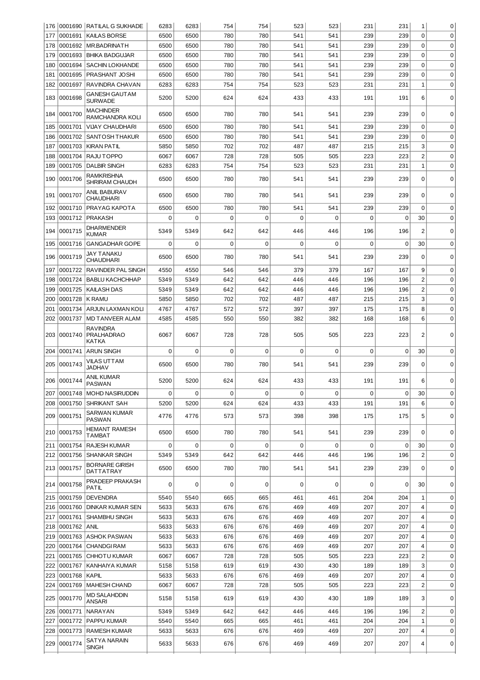|     |             | 176 0001690 RATILAL G SUKHADE                        | 6283        | 6283        | 754         | 754         | 523         | 523         | 231         | 231         | 1              | 0           |
|-----|-------------|------------------------------------------------------|-------------|-------------|-------------|-------------|-------------|-------------|-------------|-------------|----------------|-------------|
| 177 | 0001691     | <b>KAILAS BORSE</b>                                  | 6500        | 6500        | 780         | 780         | 541         | 541         | 239         | 239         | $\Omega$       | $\mathbf 0$ |
| 178 | 0001692     | <b>MR.BADRINATH</b>                                  | 6500        | 6500        | 780         | 780         | 541         | 541         | 239         | 239         | $\mathbf 0$    | $\mathbf 0$ |
| 179 | 0001693     | BHIKA BADGUJAR                                       | 6500        | 6500        | 780         | 780         | 541         | 541         | 239         | 239         | $\mathbf 0$    | $\mathbf 0$ |
| 180 | 0001694     | <b>SACHIN LOKHANDE</b>                               | 6500        | 6500        | 780         | 780         | 541         | 541         | 239         | 239         | $\mathbf 0$    | $\mathbf 0$ |
| 181 | 0001695     | PRASHANT JOSHI                                       | 6500        | 6500        | 780         | 780         | 541         | 541         | 239         | 239         | $\mathbf 0$    | $\mathbf 0$ |
| 182 | 0001697     | RAVINDRA CHAVAN                                      | 6283        | 6283        | 754         | 754         | 523         | 523         | 231         | 231         | $\mathbf{1}$   | $\mathbf 0$ |
| 183 | 0001698     | GANESH GAUTAM<br><b>SURWADE</b>                      | 5200        | 5200        | 624         | 624         | 433         | 433         | 191         | 191         | 6              | 0           |
| 184 | 0001700     | MACHINDER<br>RAMCHANDRA KOLI                         | 6500        | 6500        | 780         | 780         | 541         | 541         | 239         | 239         | $\mathbf 0$    | $\mathbf 0$ |
| 185 | 0001701     | <b>VIJAY CHAUDHARI</b>                               | 6500        | 6500        | 780         | 780         | 541         | 541         | 239         | 239         | 0              | $\mathbf 0$ |
| 186 | 0001702     | SANTOSH THAKUR                                       | 6500        | 6500        | 780         | 780         | 541         | 541         | 239         | 239         | $\mathbf 0$    | $\mathbf 0$ |
| 187 | 0001703     | <b>KIRAN PATIL</b>                                   | 5850        | 5850        | 702         | 702         | 487         | 487         | 215         | 215         | 3              | $\mathbf 0$ |
| 188 | 0001704     | RAJU TOPPO                                           | 6067        | 6067        | 728         | 728         | 505         | 505         | 223         | 223         | $\overline{c}$ | $\mathbf 0$ |
| 189 | 0001705     | <b>DALBIR SINGH</b>                                  | 6283        | 6283        | 754         | 754         | 523         | 523         | 231         | 231         | $\mathbf{1}$   | $\mathbf 0$ |
| 190 | 0001706     | RAMKRISHNA<br>SHRIRAM CHAUDH                         | 6500        | 6500        | 780         | 780         | 541         | 541         | 239         | 239         | $\mathbf 0$    | 0           |
| 191 | 0001707     | <b>ANIL BABURAV</b><br><b>CHAUDHARI</b>              | 6500        | 6500        | 780         | 780         | 541         | 541         | 239         | 239         | $\Omega$       | $\mathbf 0$ |
| 192 | 0001710     | PRAYAG KAPOTA                                        | 6500        | 6500        | 780         | 780         | 541         | 541         | 239         | 239         | $\mathbf 0$    | $\mathbf 0$ |
| 193 | 0001712     | <b>PRAKASH</b>                                       | 0           | $\mathbf 0$ | $\Omega$    | 0           | $\Omega$    | $\mathbf 0$ | $\Omega$    | $\Omega$    | 30             | $\mathbf 0$ |
| 194 | 0001715     | DHARMENDER<br><b>KUMAR</b>                           | 5349        | 5349        | 642         | 642         | 446         | 446         | 196         | 196         | $\overline{2}$ | $\Omega$    |
| 195 | 0001716     | <b>GANGADHAR GOPE</b>                                | 0           | $\mathbf 0$ | 0           | 0           | $\mathbf 0$ | $\mathbf 0$ | $\mathbf 0$ | $\mathbf 0$ | 30             | $\mathbf 0$ |
| 196 | 0001719     | JAY TANAKU<br>CHAUDHARI                              | 6500        | 6500        | 780         | 780         | 541         | 541         | 239         | 239         | $\Omega$       | 0           |
| 197 | 0001722     | <b>RAVINDER PAL SINGH</b>                            | 4550        | 4550        | 546         | 546         | 379         | 379         | 167         | 167         | 9              | $\mathbf 0$ |
| 198 | 0001724     | <b>BABLU KACHCHHAP</b>                               | 5349        | 5349        | 642         | 642         | 446         | 446         | 196         | 196         | $\overline{c}$ | $\mathbf 0$ |
| 199 | 0001725     | <b>KAILASH DAS</b>                                   | 5349        | 5349        | 642         | 642         | 446         | 446         | 196         | 196         | $\overline{c}$ | $\mathbf 0$ |
| 200 | 0001728     | <b>K RAMU</b>                                        | 5850        | 5850        | 702         | 702         | 487         | 487         | 215         | 215         | 3              | $\mathbf 0$ |
| 201 | 0001734     | ARJUN LAXMAN KOLI                                    | 4767        | 4767        | 572         | 572         | 397         | 397         | 175         | 175         | 8              | $\mathbf 0$ |
| 202 | 0001737     | <b>MD TANVEER ALAM</b>                               | 4585        | 4585        | 550         | 550         | 382         | 382         | 168         | 168         | 6              | 0           |
| 203 | 0001740     | <b>RAVINDRA</b><br><b>PRALHADRAO</b><br><b>KATKA</b> | 6067        | 6067        | 728         | 728         | 505         | 505         | 223         | 223         | $\overline{2}$ | 0           |
| 204 | 0001741     | <b>ARUN SINGH</b>                                    | 0           | $\mathbf 0$ | $\mathbf 0$ | $\mathbf 0$ | $\mathbf 0$ | $\mathbf 0$ | $\mathbf 0$ | $\mathbf 0$ | 30             | $\mathbf 0$ |
| 205 | 0001743     | VILAS UTTAM<br>JADHAV                                | 6500        | 6500        | 780         | 780         | 541         | 541         | 239         | 239         | $\mathbf 0$    | 0           |
|     | 206 0001744 | <b>ANIL KUMAR</b><br><b>PASWAN</b>                   | 5200        | 5200        | 624         | 624         | 433         | 433         | 191         | 191         | 6              | $\Omega$    |
| 207 |             | 0001748   MOHD NASIRUDDIN                            | $\mathbf 0$ | $\mathbf 0$ | 0           | 0           | 0           | $\mathbf 0$ | $\mathbf 0$ | $\mathbf 0$ | 30             | $\mathbf 0$ |
| 208 | 0001750     | SHRIKANT SAH                                         | 5200        | 5200        | 624         | 624         | 433         | 433         | 191         | 191         | 6              | $\mathbf 0$ |
| 209 | 0001751     | SARWAN KUMAR<br><b>PASWAN</b>                        | 4776        | 4776        | 573         | 573         | 398         | 398         | 175         | 175         | 5              | 0           |
|     | 210 0001753 | HEMANT RAMESH<br>TAMBAT                              | 6500        | 6500        | 780         | 780         | 541         | 541         | 239         | 239         | $\Omega$       | $\mathbf 0$ |
| 211 | 0001754     | <b>RAJESH KUMAR</b>                                  | 0           | $\mathbf 0$ | $\mathbf 0$ | 0           | 0           | $\mathbf 0$ | $\mathbf 0$ | 0           | 30             | $\mathbf 0$ |
| 212 | 0001756     | <b>SHANKAR SINGH</b>                                 | 5349        | 5349        | 642         | 642         | 446         | 446         | 196         | 196         | $\overline{2}$ | $\mathbf 0$ |
|     | 213 0001757 | <b>BORNARE GIRISH</b><br>DATTATRAY                   | 6500        | 6500        | 780         | 780         | 541         | 541         | 239         | 239         | $\mathbf 0$    | $\mathbf 0$ |
|     | 214 0001758 | PRADEEP PRAKASH<br>PATIL                             | $\mathbf 0$ | $\mathbf 0$ | 0           | 0           | 0           | $\mathbf 0$ | 0           | 0           | 30             | $\mathbf 0$ |
| 215 | 0001759     | <b>DEVENDRA</b>                                      | 5540        | 5540        | 665         | 665         | 461         | 461         | 204         | 204         | 1              | $\mathbf 0$ |
| 216 | 0001760     | <b>DINKAR KUMAR SEN</b>                              | 5633        | 5633        | 676         | 676         | 469         | 469         | 207         | 207         | $\overline{4}$ | $\mathbf 0$ |
| 217 | 0001761     | <b>SHAMBHU SINGH</b>                                 | 5633        | 5633        | 676         | 676         | 469         | 469         | 207         | 207         | $\overline{4}$ | $\mathbf 0$ |
| 218 | 0001762     | <b>ANIL</b>                                          | 5633        | 5633        | 676         | 676         | 469         | 469         | 207         | 207         | $\overline{4}$ | $\mathbf 0$ |
| 219 | 0001763     | <b>ASHOK PASWAN</b>                                  | 5633        | 5633        | 676         | 676         | 469         | 469         | 207         | 207         | $\overline{4}$ | $\mathbf 0$ |
| 220 | 0001764     | <b>CHANDGI RAM</b>                                   | 5633        | 5633        | 676         | 676         | 469         | 469         | 207         | 207         | $\overline{4}$ | $\mathbf 0$ |
| 221 | 0001765     | <b>CHHOTU KUMAR</b>                                  | 6067        | 6067        | 728         | 728         | 505         | 505         | 223         | 223         | $\overline{c}$ | $\mathbf 0$ |
| 222 | 0001767     | <b>KANHAIYA KUMAR</b>                                | 5158        | 5158        | 619         | 619         | 430         | 430         | 189         | 189         | 3              | 0           |
| 223 | 0001768     | <b>KAPIL</b>                                         | 5633        | 5633        | 676         | 676         | 469         | 469         | 207         | 207         | 4              | 0           |
| 224 | 0001769     | <b>MAHESH CHAND</b>                                  | 6067        | 6067        | 728         | 728         | 505         | 505         | 223         | 223         | $\overline{c}$ | 0           |
| 225 | 0001770     | MD SALAHDDIN<br>ANSARI                               | 5158        | 5158        | 619         | 619         | 430         | 430         | 189         | 189         | 3              | $\mathbf 0$ |
| 226 | 0001771     | NARAYAN                                              | 5349        | 5349        | 642         | 642         | 446         | 446         | 196         | 196         | $\overline{c}$ | $\mathbf 0$ |
| 227 | 0001772     | <b>PAPPU KUMAR</b>                                   | 5540        | 5540        | 665         | 665         | 461         | 461         | 204         | 204         | $1\,$          | $\mathbf 0$ |
| 228 | 0001773     | <b>RAMESH KUMAR</b>                                  | 5633        | 5633        | 676         | 676         | 469         | 469         | 207         | 207         | $\overline{4}$ | $\mathbf 0$ |
| 229 | 0001774     | SATYA NARAIN<br>SINGH                                | 5633        | 5633        | 676         | 676         | 469         | 469         | 207         | 207         | 4              | 0           |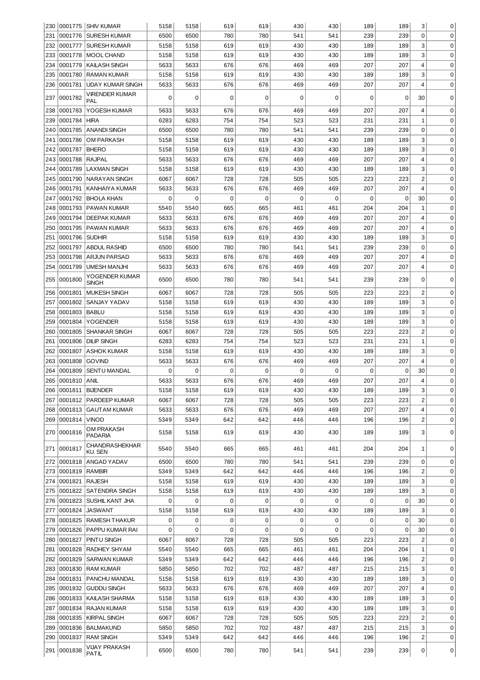| 230        |                    | 10001775 SHIV KUMAR                 | 5158                    | 5158          | 619      | 619        | 430           | 430        | 189        | 189        | 3              | 0           |
|------------|--------------------|-------------------------------------|-------------------------|---------------|----------|------------|---------------|------------|------------|------------|----------------|-------------|
| 231        | 0001776            | <b>SURESH KUMAR</b>                 | 6500                    | 6500          | 780      | 780        | 541           | 541        | 239        | 239        | $\Omega$       | $\mathbf 0$ |
| 232        | 0001777            | <b>SURESH KUMAR</b>                 | 5158                    | 5158          | 619      | 619        | 430           | 430        | 189        | 189        | 3              | 0           |
| 233        | 0001778            | MOOL CHAND                          | 5158                    | 5158          | 619      | 619        | 430           | 430        | 189        | 189        | 3              | $\mathbf 0$ |
| 234        | 0001779            | <b>KAILASH SINGH</b>                | 5633                    | 5633          | 676      | 676        | 469           | 469        | 207        | 207        | 4              | $\mathbf 0$ |
| 235        | 0001780            | <b>RAMAN KUMAR</b>                  | 5158                    | 5158          | 619      | 619        | 430           | 430        | 189        | 189        | 3              | $\mathbf 0$ |
| 236        | 0001781            | <b>UDAY KUMAR SINGH</b>             | 5633                    | 5633          | 676      | 676        | 469           | 469        | 207        | 207        | $\overline{4}$ | $\mathbf 0$ |
| 237        | 0001782            | VIRENDER KUMAR<br>PAL               | $\Omega$                | $\Omega$      | 0        | 0          | $\mathbf 0$   | 0          | 0          | 0          | 30             | 0           |
| 238        | 0001783            | YOGESH KUMAR                        | 5633                    | 5633          | 676      | 676        | 469           | 469        | 207        | 207        | 4              | 0           |
| 239        | 0001784            | <b>HIRA</b>                         | 6283                    | 6283          | 754      | 754        | 523           | 523        | 231        | 231        | $1\,$          | 0           |
| 240        | 0001785            | <b>ANANDI SINGH</b>                 | 6500                    | 6500          | 780      | 780        | 541           | 541        | 239        | 239        | 0              | 0           |
| 241        | 0001786            | <b>OM PARKASH</b>                   | 5158                    | 5158          | 619      | 619        | 430           | 430        | 189        | 189        | 3              | 0           |
| 242        | 0001787            | <b>BHERO</b>                        | 5158                    | 5158          | 619      | 619        | 430           | 430        | 189        | 189        | 3              | 0           |
| 243        | 0001788            | <b>RAJPAL</b>                       | 5633                    | 5633          | 676      | 676        | 469           | 469        | 207        | 207        | 4              | 0           |
| 244        | 0001789            | <b>LAXMAN SINGH</b>                 | 5158                    | 5158          | 619      | 619        | 430           | 430        | 189        | 189        | 3              | 0           |
| 245        | 0001790            | NARAYAN SINGH                       | 6067                    | 6067          | 728      | 728        | 505           | 505        | 223        | 223        | $\overline{c}$ | 0           |
| 246        | 0001791            | KANHAIYA KUMAR                      | 5633                    | 5633          | 676      | 676        | 469           | 469        | 207        | 207        | 4              | 0           |
| 247        | 0001792            | <b>BHOLA KHAN</b>                   | 0                       | 0             | 0        | 0          | 0             | 0          | 0          | 0          | 30             | 0           |
| 248        | 0001793            | PAWAN KUMAR                         | 5540                    | 5540          | 665      | 665        | 461           | 461        | 204        | 204        | $\mathbf{1}$   | 0           |
| 249        | 0001794            | <b>DEEPAK KUMAR</b>                 | 5633                    | 5633          | 676      | 676        | 469           | 469        | 207        | 207        | 4              | 0           |
| 250        | 0001795            | PAWAN KUMAR                         | 5633                    | 5633          | 676      | 676        | 469           | 469        | 207        | 207        | 4              | 0           |
| 251        | 0001796            | <b>SUDHIR</b>                       | 5158                    | 5158          | 619      | 619        | 430           | 430        | 189        | 189        | 3              | 0           |
| 252        | 0001797            | <b>ABDUL RASHID</b>                 | 6500                    | 6500          | 780      | 780        | 541           | 541        | 239        | 239        | 0              | 0           |
| 253        | 0001798            | <b>ARJUN PARSAD</b>                 | 5633                    | 5633          | 676      | 676        | 469           | 469        | 207        | 207        | 4              | 0           |
| 254        | 0001799            | <b>UMESH MANJHI</b>                 | 5633                    | 5633          | 676      | 676        | 469           | 469        | 207        | 207        | 4              | 0           |
| 255        | 0001800            | YOGENDER KUMAR<br><b>SINGH</b>      | 6500                    | 6500          | 780      | 780        | 541           | 541        | 239        | 239        | 0              | $\Omega$    |
| 256        | 0001801            | <b>MUKESH SINGH</b>                 | 6067                    | 6067          | 728      | 728        | 505           | 505        | 223        | 223        | $\overline{c}$ | 0           |
| 257        | 0001802            | SANJAY YADAV                        | 5158                    | 5158          | 619      | 619        | 430           | 430        | 189        | 189        | 3              | 0           |
| 258        | 0001803            | <b>BABLU</b>                        | 5158                    | 5158          | 619      | 619        | 430           | 430        | 189        | 189        | 3              | 0           |
| 259        | 0001804            | <b>YOGENDER</b>                     | 5158                    | 5158          | 619      | 619        | 430           | 430        | 189        | 189        | 3              | 0           |
| 260        | 0001805            | <b>SHANKAR SINGH</b>                | 6067                    | 6067          | 728      | 728        | 505           | 505        | 223        | 223        | $\overline{c}$ | 0           |
| 261        | 0001806            | <b>DILIP SINGH</b>                  | 6283                    | 6283          | 754      | 754        | 523           | 523        | 231        | 231        | $1\,$          | 0           |
| 262        | 0001807            | <b>ASHOK KUMAR</b>                  | 5158                    | 5158          | 619      | 619        | 430           | 430        | 189        | 189        | 3              | 0           |
| 263        | 0001808            | <b>GOVIND</b>                       | 5633                    | 5633          | 676      | 676        | 469           | 469        | 207        | 207        | $\overline{4}$ | 0           |
| 264        | 0001809            | <b>SENTU MANDAL</b>                 | 0                       | $\mathbf 0$   | 0        | 0          | $\mathbf 0$   | 0          | 0          | 0          | 30             | $\mathbf 0$ |
| 265        | 0001810   ANIL     |                                     | 5633                    | 5633          | 676      | 676        | 469           | 469        | 207        | 207        | 4              | $\mathbf 0$ |
| 266        |                    | 0001811   BIJENDER                  | 5158                    | 5158          | 619      | 619        | 430           | 430        | 189        | 189        | 3              | 0           |
| 267        | 0001812            | PARDEEP KUMAR                       | 6067                    | 6067          | 728      | 728        | 505           | 505        | 223        | 223        | $\overline{c}$ | $\mathbf 0$ |
| 268        |                    | 0001813   GAUTAM KUMAR              | 5633                    | 5633          | 676      | 676        | 469           | 469        | 207        | 207        | $\overline{4}$ | $\mathbf 0$ |
| 269        | 0001814            | <b>VINOD</b>                        | 5349                    | 5349          | 642      | 642        | 446           | 446        | 196        | 196        | $\overline{c}$ | $\mathbf 0$ |
| 270        | 0001816            | OM PRAKASH<br><b>PADARIA</b>        | 5158                    | 5158          | 619      | 619        | 430           | 430        | 189        | 189        | 3              | 0           |
|            | 271 0001817        | <b>CHANDRASHEKHAR</b>               | 5540                    | 5540          | 665      | 665        | 461           | 461        | 204        | 204        | 1              | $\mathbf 0$ |
|            |                    | <b>KU. SEN</b>                      |                         |               |          |            |               |            |            |            | 0              |             |
| 272        | 0001818            | <b>ANGAD YADAV</b><br><b>RAMBIR</b> | 6500                    | 6500          | 780      | 780        | 541           | 541        | 239        | 239        |                | $\mathbf 0$ |
| 273        | 0001819            |                                     | 5349                    | 5349          | 642      | 642        | 446           | 446        | 196        | 196        | 2              | 0           |
| 274        | 0001821            | <b>RAJESH</b>                       | 5158<br>5158            | 5158<br>5158  | 619      | 619<br>619 | 430<br>430    | 430<br>430 | 189<br>189 | 189<br>189 | 3<br>3         | 0<br>0      |
| 275<br>276 | 0001822<br>0001823 | SATENDRA SINGH                      | $\mathbf 0$             | 0             | 619<br>0 | 0          | 0             | 0          | 0          | 0          | 30             | 0           |
| 277        | 0001824            | SUSHIL KANT JHA<br><b>JASWANT</b>   | 5158                    | 5158          | 619      | 619        | 430           | 430        | 189        | 189        | 3              | $\mathbf 0$ |
|            |                    |                                     |                         |               |          |            |               |            |            |            |                |             |
| 278        | 0001825<br>0001826 | RAMESH THAKUR<br>PAPPU KUMAR RAI    | $\mathbf 0$<br>$\Omega$ | 0<br>$\Omega$ | 0<br>0   | 0<br>0     | 0<br>$\Omega$ | 0<br>0     | 0<br>0     | 0<br>0     | 30<br>30       | 0<br>0      |
| 279        |                    |                                     |                         |               |          |            |               |            |            |            |                |             |
| 280        | 0001827            | PINTU SINGH                         | 6067                    | 6067          | 728      | 728        | 505           | 505        | 223        | 223        | 2              | 0           |
| 281        | 0001828            | RADHEY SHYAM                        | 5540                    | 5540          | 665      | 665        | 461           | 461        | 204        | 204        | 1              | 0           |
| 282        | 0001829            | SARWAN KUMAR                        | 5349                    | 5349          | 642      | 642        | 446           | 446        | 196        | 196        | 2              | 0           |
| 283        | 0001830            | <b>RAM KUMAR</b>                    | 5850                    | 5850          | 702      | 702        | 487           | 487        | 215        | 215        | 3              | 0           |
| 284        | 0001831            | PANCHU MANDAL                       | 5158                    | 5158          | 619      | 619        | 430           | 430        | 189        | 189        | 3              | $\mathbf 0$ |
| 285        | 0001832            | <b>GUDDU SINGH</b>                  | 5633                    | 5633          | 676      | 676        | 469           | 469        | 207        | 207        | $\overline{4}$ | 0           |
| 286        | 0001833            | KAILASH SHARMA                      | 5158                    | 5158          | 619      | 619        | 430           | 430        | 189        | 189        | 3              | 0           |
| 287        | 0001834            | <b>RAJAN KUMAR</b>                  | 5158                    | 5158          | 619      | 619        | 430           | 430        | 189        | 189        | 3              | $\mathbf 0$ |
| 288        | 0001835            | <b>KIRPAL SINGH</b>                 | 6067                    | 6067          | 728      | 728        | 505           | 505        | 223        | 223        | $\overline{c}$ | $\mathbf 0$ |
| 289        | 0001836            | <b>BALMAKUND</b>                    | 5850                    | 5850          | 702      | 702        | 487           | 487        | 215        | 215        | 3              | $\mathbf 0$ |
| 290        | 0001837            | <b>RAM SINGH</b>                    | 5349                    | 5349          | 642      | 642        | 446           | 446        | 196        | 196        | $\overline{c}$ | $\mathbf 0$ |
| 291        | 0001838            | VIJAY PRAKASH<br>PATIL              | 6500                    | 6500          | 780      | 780        | 541           | 541        | 239        | 239        | 0              | 0           |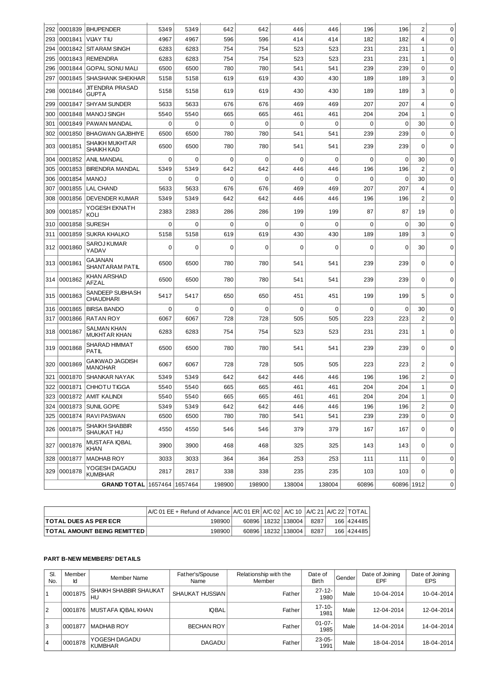| 292 | 0001839       | <b>BHUPENDER</b>                    | 5349     | 5349        | 642         | 642         | 446         | 446         | 196         | 196         | $\overline{c}$ | 0            |
|-----|---------------|-------------------------------------|----------|-------------|-------------|-------------|-------------|-------------|-------------|-------------|----------------|--------------|
|     | 293 0001841   | VIJAY TIU                           | 4967     | 4967        | 596         | 596         | 414         | 414         | 182         | 182         | 4              | 0            |
| 294 | 0001842       | <b>SITARAM SINGH</b>                | 6283     | 6283        | 754         | 754         | 523         | 523         | 231         | 231         | 1              | $\mathbf 0$  |
| 295 | 0001843       | <b>REMENDRA</b>                     | 6283     | 6283        | 754         | 754         | 523         | 523         | 231         | 231         | $\mathbf 1$    | 0            |
| 296 | 0001844       | <b>GOPAL SONU MALI</b>              | 6500     | 6500        | 780         | 780         | 541         | 541         | 239         | 239         | 0              | $\mathbf 0$  |
| 297 | 0001845       | SHASHANK SHEKHAR                    | 5158     | 5158        | 619         | 619         | 430         | 430         | 189         | 189         | 3              | $\mathbf 0$  |
| 298 | 0001846       | JITENDRA PRASAD<br>GUPTA            | 5158     | 5158        | 619         | 619         | 430         | 430         | 189         | 189         | 3              | 0            |
| 299 | 0001847       | <b>SHYAM SUNDER</b>                 | 5633     | 5633        | 676         | 676         | 469         | 469         | 207         | 207         | 4              | $\mathbf 0$  |
| 300 | 0001848       | <b>MANOJ SINGH</b>                  | 5540     | 5540        | 665         | 665         | 461         | 461         | 204         | 204         | $\mathbf 1$    | $\mathbf 0$  |
| 301 | 0001849       | PAWAN MANDAL                        | 0        | 0           | 0           | 0           | 0           | 0           | 0           | $\mathbf 0$ | 30             | 0            |
| 302 | 0001850       | <b>BHAGWAN GAJBHIYE</b>             | 6500     | 6500        | 780         | 780         | 541         | 541         | 239         | 239         | $\mathbf 0$    | $\mathbf 0$  |
| 303 | 0001851       | SHAIKH MUKHTAR<br>SHAIKH KAD        | 6500     | 6500        | 780         | 780         | 541         | 541         | 239         | 239         | $\Omega$       | 0            |
| 304 | 0001852       | <b>ANIL MANDAL</b>                  | 0        | $\mathbf 0$ | $\mathbf 0$ | $\mathbf 0$ | $\mathbf 0$ | $\mathbf 0$ | $\mathbf 0$ | $\mathbf 0$ | 30             | $\mathbf 0$  |
| 305 | 0001853       | <b>BIRENDRA MANDAL</b>              | 5349     | 5349        | 642         | 642         | 446         | 446         | 196         | 196         | 2              | $\mathbf 0$  |
| 306 | 0001854       | <b>MANOJ</b>                        | 0        | 0           | $\mathbf 0$ | $\mathbf 0$ | 0           | 0           | 0           | 0           | 30             | $\mathbf 0$  |
| 307 | 0001855       | LAL CHAND                           | 5633     | 5633        | 676         | 676         | 469         | 469         | 207         | 207         | 4              | $\mathbf 0$  |
| 308 | 0001856       | <b>DEVENDER KUMAR</b>               | 5349     | 5349        | 642         | 642         | 446         | 446         | 196         | 196         | $\overline{2}$ | $\mathbf 0$  |
| 309 | 0001857       | YOGESH EKNATH<br>KOLI               | 2383     | 2383        | 286         | 286         | 199         | 199         | 87          | 87          | 19             | 0            |
|     | 310 0001858   | <b>SURESH</b>                       | 0        | 0           | 0           | $\mathbf 0$ | $\mathbf 0$ | 0           | 0           | 0           | 30             | $\mathbf 0$  |
| 311 | 0001859       | <b>SUKRA KHALKO</b>                 | 5158     | 5158        | 619         | 619         | 430         | 430         | 189         | 189         | 3              | $\mathbf 0$  |
|     | 312 0001860   | SAROJ KUMAR<br>YADAV                | $\Omega$ | 0           | 0           | 0           | 0           | 0           | 0           | $\mathbf 0$ | 30             | 0            |
|     | 313 0001861   | GAJANAN<br>SHANTARAM PATIL          | 6500     | 6500        | 780         | 780         | 541         | 541         | 239         | 239         | $\mathbf 0$    | 0            |
| 314 | 0001862       | KHAN ARSHAD<br>AFZAL                | 6500     | 6500        | 780         | 780         | 541         | 541         | 239         | 239         | 0              | 0            |
|     | 315 0001863   | SANDEEP SUBHASH<br>CHAUDHARI        | 5417     | 5417        | 650         | 650         | 451         | 451         | 199         | 199         | 5              | 0            |
|     | 316 0001865   | <b>BIRSA BANDO</b>                  | 0        | 0           | 0           | 0           | 0           | 0           | 0           | $\mathbf 0$ | 30             | 0            |
| 317 | 0001866       | <b>RATAN ROY</b>                    | 6067     | 6067        | 728         | 728         | 505         | 505         | 223         | 223         | $\overline{c}$ | 0            |
|     | 318   0001867 | SALMAN KHAN<br>MUKHTAR KHAN         | 6283     | 6283        | 754         | 754         | 523         | 523         | 231         | 231         | 1              | 0            |
|     | 319 0001868   | SHARAD HIMMAT<br>PATIL              | 6500     | 6500        | 780         | 780         | 541         | 541         | 239         | 239         | 0              | 0            |
|     | 320 0001869   | GAIKWAD JAGDISH<br><b>MANOHAR</b>   | 6067     | 6067        | 728         | 728         | 505         | 505         | 223         | 223         | $\overline{c}$ | 0            |
|     | 321 0001870   | SHANKAR NAYAK                       | 5349     | 5349        | 642         | 642         | 446         | 446         | 196         | 196         | $\overline{2}$ | <sup>0</sup> |
|     |               | 322   0001871   CHHOTU TIGGA        | 5540     | 5540        | 665         | 665         | 461         | 461         | 204         | 204         | $\,1\,$        | 0            |
| 323 | 0001872       | <b>AMIT KALINDI</b>                 | 5540     | 5540        | 665         | 665         | 461         | 461         | 204         | 204         | $\mathbf{1}$   | 0            |
| 324 | 0001873       | SUNIL GOPE                          | 5349     | 5349        | 642         | 642         | 446         | 446         | 196         | 196         | $\overline{2}$ | 0            |
|     | 325 0001874   | RAVI PASWAN                         | 6500     | 6500        | 780         | 780         | 541         | 541         | 239         | 239         | $\mathbf 0$    | 0            |
|     | 326 0001875   | <b>SHAIKH SHABBIR</b><br>SHAUKAT HU | 4550     | 4550        | 546         | 546         | 379         | 379         | 167         | 167         | 0              | 0            |
|     | 327 0001876   | MUSTAFA IQBAL<br>KHAN               | 3900     | 3900        | 468         | 468         | 325         | 325         | 143         | 143         | 0              | 0            |
|     | 328 0001877   | <b>MADHAB ROY</b>                   | 3033     | 3033        | 364         | 364         | 253         | 253         | 111         | 111         | 0              | 0            |
|     | 329 0001878   | YOGESH DAGADU<br><b>KUMBHAR</b>     | 2817     | 2817        | 338         | 338         | 235         | 235         | 103         | 103         | $\mathbf 0$    | 0            |
|     |               | GRAND TOTAL 1657464 1657464         |          |             | 198900      | 198900      | 138004      | 138004      | 60896       | 60896 1912  |                | 0            |
|     |               |                                     |          |             |             |             |             |             |             |             |                |              |

|                                    | $A/C 01$ EE + Refund of Advance $A/C 01$ ER $A/C 02$ A/C 10 $A/C 21$ A/C 22 TOTAL |  |                        |      |            |
|------------------------------------|-----------------------------------------------------------------------------------|--|------------------------|------|------------|
| <b>ITOTAL DUES AS PER ECR</b>      | 198900                                                                            |  | 60896   18232   138004 | 8287 | 166 424485 |
| <b>TOTAL AMOUNT BEING REMITTED</b> | 198900                                                                            |  | 60896   18232   138004 | 8287 | 166 424485 |

## **PART B-NEW MEMBERS' DETAILS**

| SI.<br>No. | Member<br>Ιd | Member Name                         | Father's/Spouse<br>Name | Relationship with the<br>Member | Date of<br><b>Birth</b> | Gender | Date of Joining<br>EPF | Date of Joining<br><b>EPS</b> |
|------------|--------------|-------------------------------------|-------------------------|---------------------------------|-------------------------|--------|------------------------|-------------------------------|
| 1          | 0001875      | <b>SHAIKH SHABBIR SHAUKAT</b><br>HU | <b>SHAUKAT HUSSIAN</b>  | Father                          | 27-12-<br>1980          | Male   | 10-04-2014             | 10-04-2014                    |
| l 2        | 0001876      | MUSTAFA IOBAL KHAN                  | <b>IOBAL</b>            | Father                          | $17 - 10 -$<br>1981     | Male   | 12-04-2014             | 12-04-2014                    |
| 13         | 0001877      | <b>IMADHAB ROY</b>                  | <b>BECHAN ROY</b>       | Father                          | $01-07-$<br>1985        | Male I | 14-04-2014             | 14-04-2014                    |
| 14         | 0001878      | YOGESH DAGADU<br><b>KUMBHAR</b>     | <b>DAGADU</b>           | Father                          | $23 - 05 -$<br>1991     | Male   | 18-04-2014             | 18-04-2014                    |